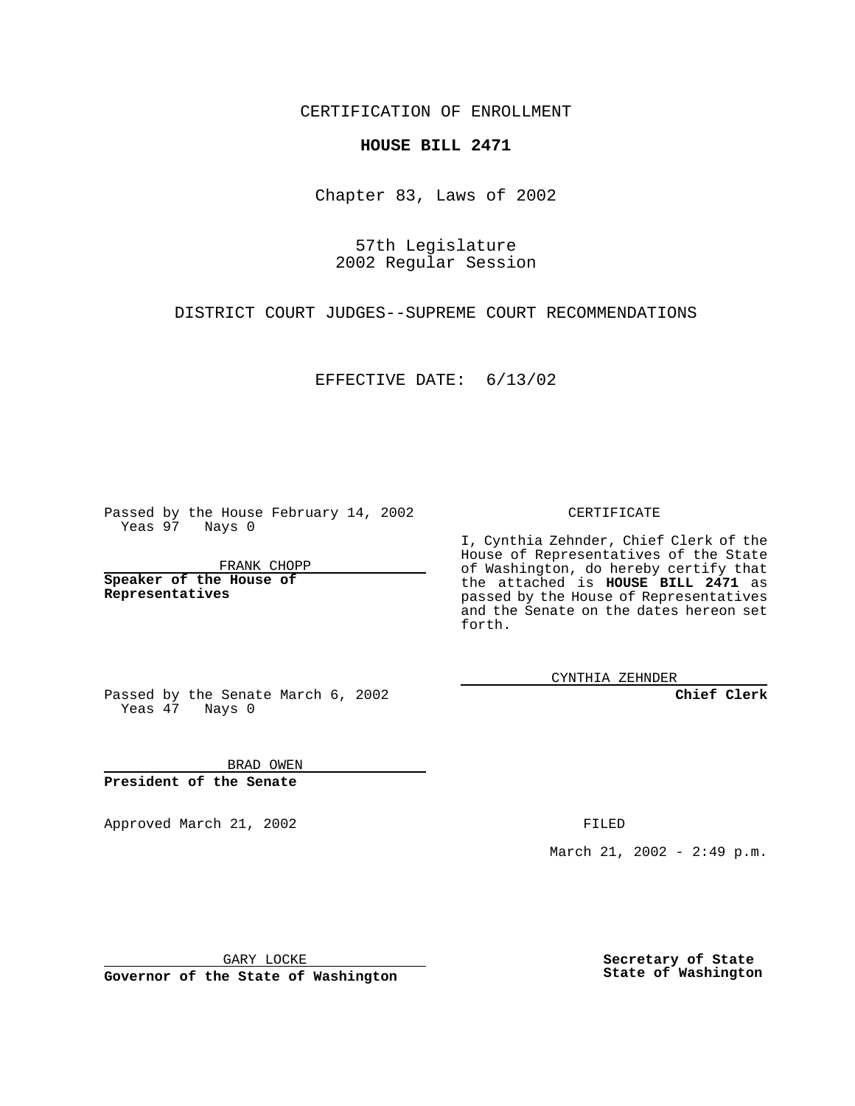CERTIFICATION OF ENROLLMENT

## **HOUSE BILL 2471**

Chapter 83, Laws of 2002

57th Legislature 2002 Regular Session

DISTRICT COURT JUDGES--SUPREME COURT RECOMMENDATIONS

EFFECTIVE DATE: 6/13/02

Passed by the House February 14, 2002 Yeas 97 Nays 0

FRANK CHOPP

**Speaker of the House of Representatives**

CERTIFICATE

I, Cynthia Zehnder, Chief Clerk of the House of Representatives of the State of Washington, do hereby certify that the attached is **HOUSE BILL 2471** as passed by the House of Representatives and the Senate on the dates hereon set forth.

CYNTHIA ZEHNDER

**Chief Clerk**

Passed by the Senate March 6, 2002 Yeas  $47$  Nays 0

BRAD OWEN **President of the Senate**

Approved March 21, 2002 **FILED** 

March 21, 2002 - 2:49 p.m.

GARY LOCKE

**Governor of the State of Washington**

**Secretary of State State of Washington**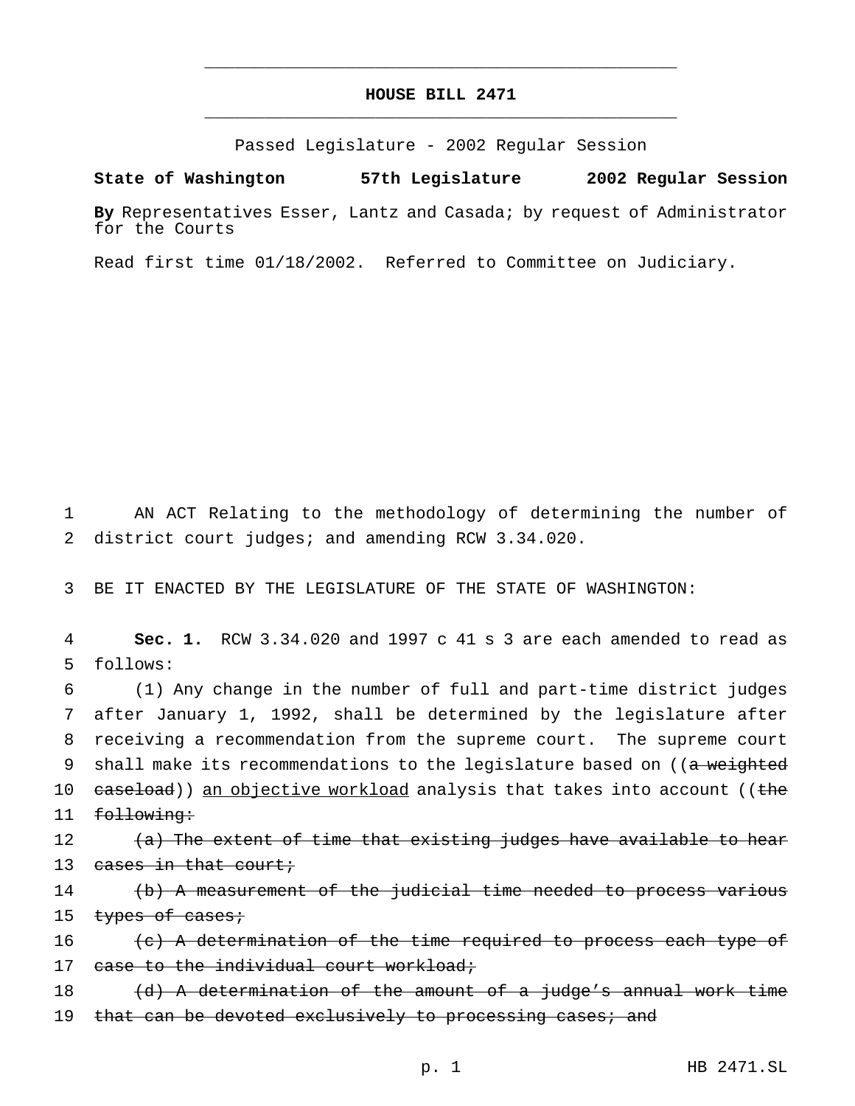## **HOUSE BILL 2471** \_\_\_\_\_\_\_\_\_\_\_\_\_\_\_\_\_\_\_\_\_\_\_\_\_\_\_\_\_\_\_\_\_\_\_\_\_\_\_\_\_\_\_\_\_\_\_

\_\_\_\_\_\_\_\_\_\_\_\_\_\_\_\_\_\_\_\_\_\_\_\_\_\_\_\_\_\_\_\_\_\_\_\_\_\_\_\_\_\_\_\_\_\_\_

Passed Legislature - 2002 Regular Session

## **State of Washington 57th Legislature 2002 Regular Session**

**By** Representatives Esser, Lantz and Casada; by request of Administrator for the Courts

Read first time 01/18/2002. Referred to Committee on Judiciary.

1 AN ACT Relating to the methodology of determining the number of 2 district court judges; and amending RCW 3.34.020.

3 BE IT ENACTED BY THE LEGISLATURE OF THE STATE OF WASHINGTON:

4 **Sec. 1.** RCW 3.34.020 and 1997 c 41 s 3 are each amended to read as 5 follows:

6 (1) Any change in the number of full and part-time district judges 7 after January 1, 1992, shall be determined by the legislature after 8 receiving a recommendation from the supreme court. The supreme court 9 shall make its recommendations to the legislature based on ((a weighted 10 caseload)) an objective workload analysis that takes into account ((the 11 following:

12 (a) The extent of time that existing judges have available to hear 13 cases in that court;

14 (b) A measurement of the judicial time needed to process various 15 types of cases;

16  $\left\{ \left( e\right)$  A determination of the time required to process each type of 17 case to the individual court workload;

18  $(d)$  A determination of the amount of a judge's annual work time 19 that can be devoted exclusively to processing cases; and